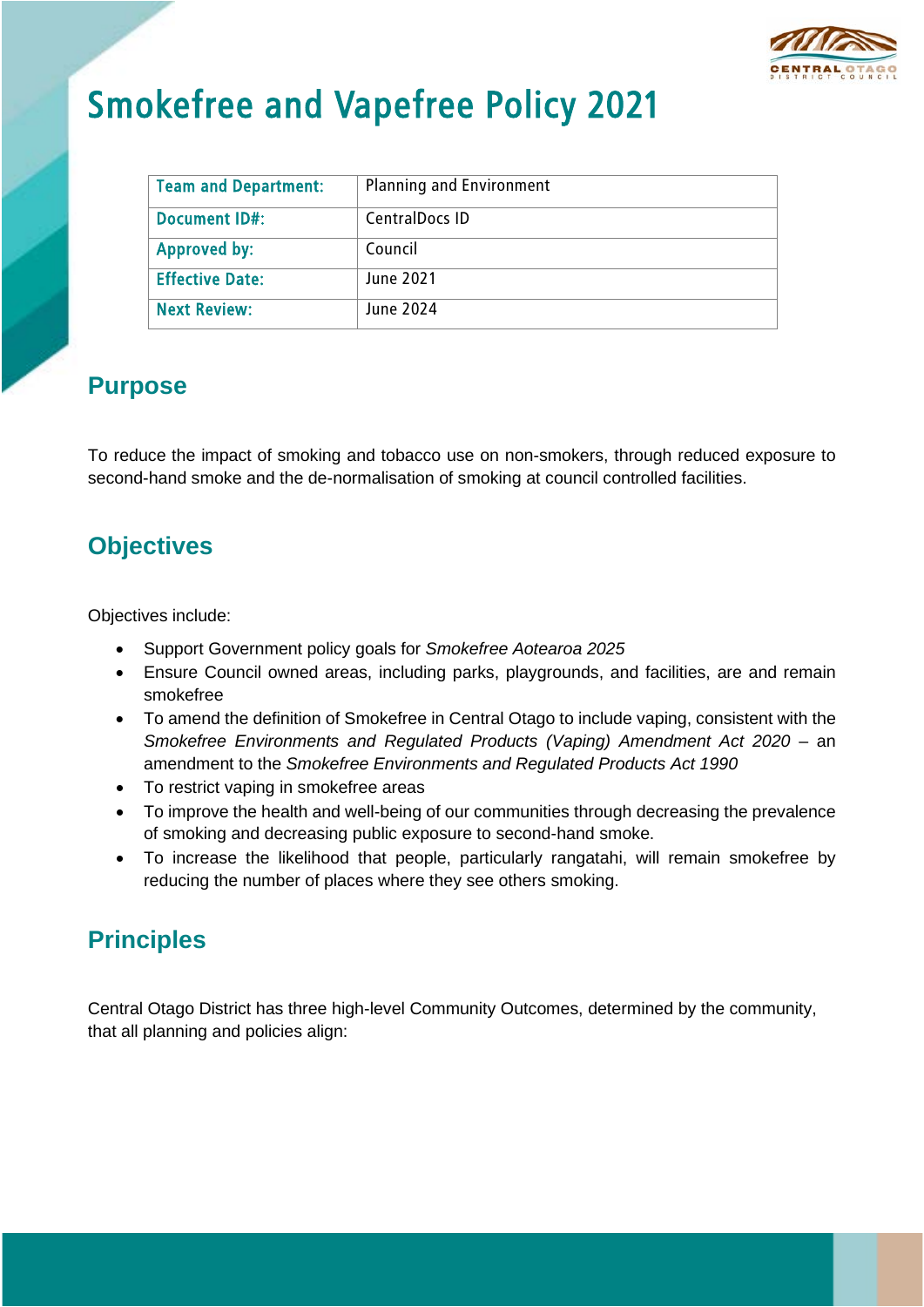

# Smokefree and Vapefree Policy 2021

| <b>Team and Department:</b> | <b>Planning and Environment</b> |
|-----------------------------|---------------------------------|
| Document ID#:               | <b>CentralDocs ID</b>           |
| Approved by:                | Council                         |
| <b>Effective Date:</b>      | June 2021                       |
| <b>Next Review:</b>         | June 2024                       |

#### **Purpose**

To reduce the impact of smoking and tobacco use on non-smokers, through reduced exposure to second-hand smoke and the de-normalisation of smoking at council controlled facilities.

#### **Objectives**

Objectives include:

- Support Government policy goals for *Smokefree Aotearoa 2025*
- Ensure Council owned areas, including parks, playgrounds, and facilities, are and remain smokefree
- To amend the definition of Smokefree in Central Otago to include vaping, consistent with the *Smokefree Environments and Regulated Products (Vaping) Amendment Act 2020* – an amendment to the *Smokefree Environments and Regulated Products Act 1990*
- To restrict vaping in smokefree areas
- To improve the health and well-being of our communities through decreasing the prevalence of smoking and decreasing public exposure to second-hand smoke.
- To increase the likelihood that people, particularly rangatahi, will remain smokefree by reducing the number of places where they see others smoking.

# **Principles**

Central Otago District has three high-level Community Outcomes, determined by the community, that all planning and policies align: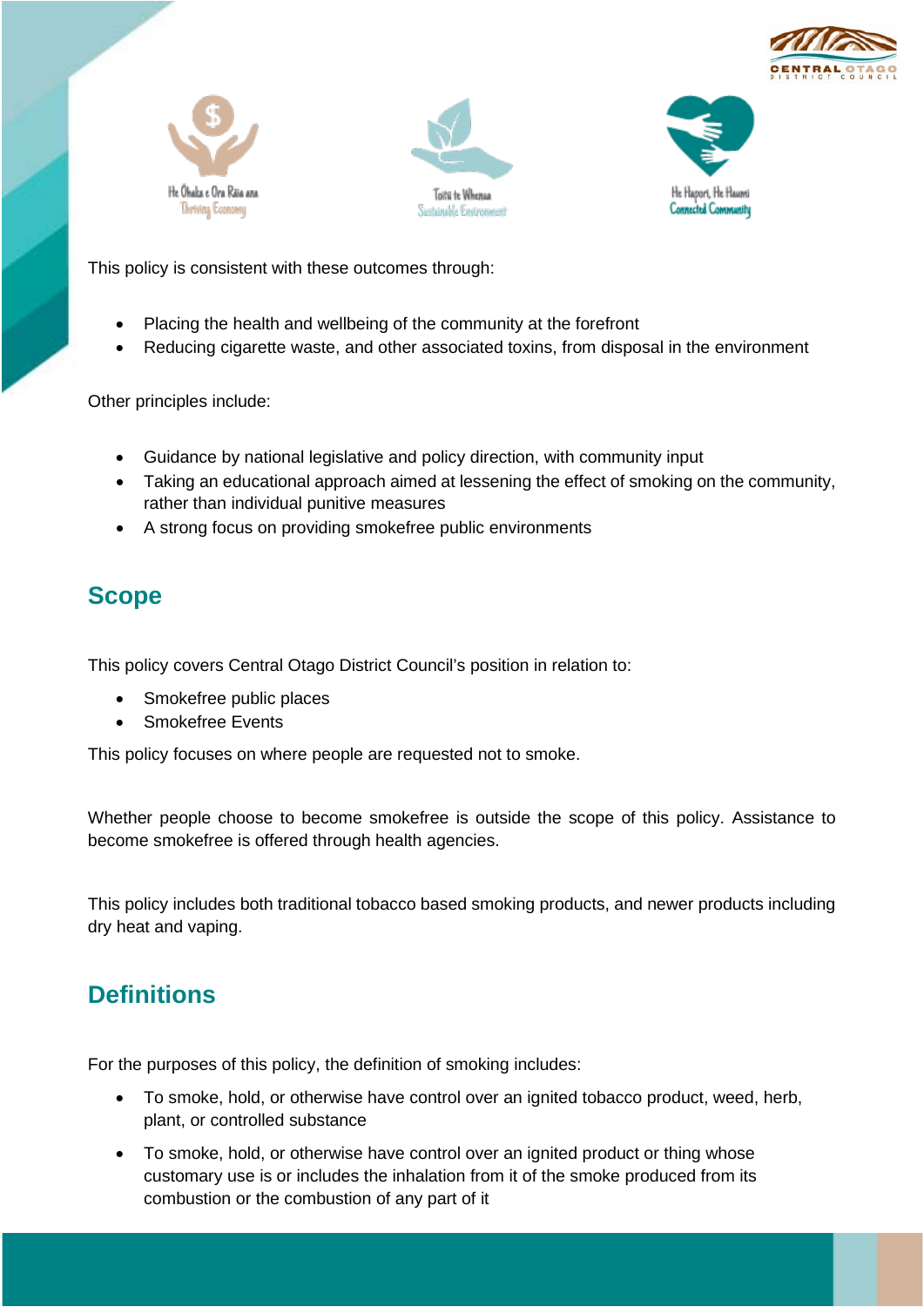







This policy is consistent with these outcomes through:

- Placing the health and wellbeing of the community at the forefront
- Reducing cigarette waste, and other associated toxins, from disposal in the environment

Other principles include:

- Guidance by national legislative and policy direction, with community input
- Taking an educational approach aimed at lessening the effect of smoking on the community, rather than individual punitive measures
- A strong focus on providing smokefree public environments

#### **Scope**

This policy covers Central Otago District Council's position in relation to:

- Smokefree public places
- Smokefree Events

This policy focuses on where people are requested not to smoke.

Whether people choose to become smokefree is outside the scope of this policy. Assistance to become smokefree is offered through health agencies.

This policy includes both traditional tobacco based smoking products, and newer products including dry heat and vaping.

# **Definitions**

For the purposes of this policy, the definition of smoking includes:

- To smoke, hold, or otherwise have control over an ignited tobacco product, weed, herb, plant, or controlled substance
- To smoke, hold, or otherwise have control over an ignited product or thing whose customary use is or includes the inhalation from it of the smoke produced from its combustion or the combustion of any part of it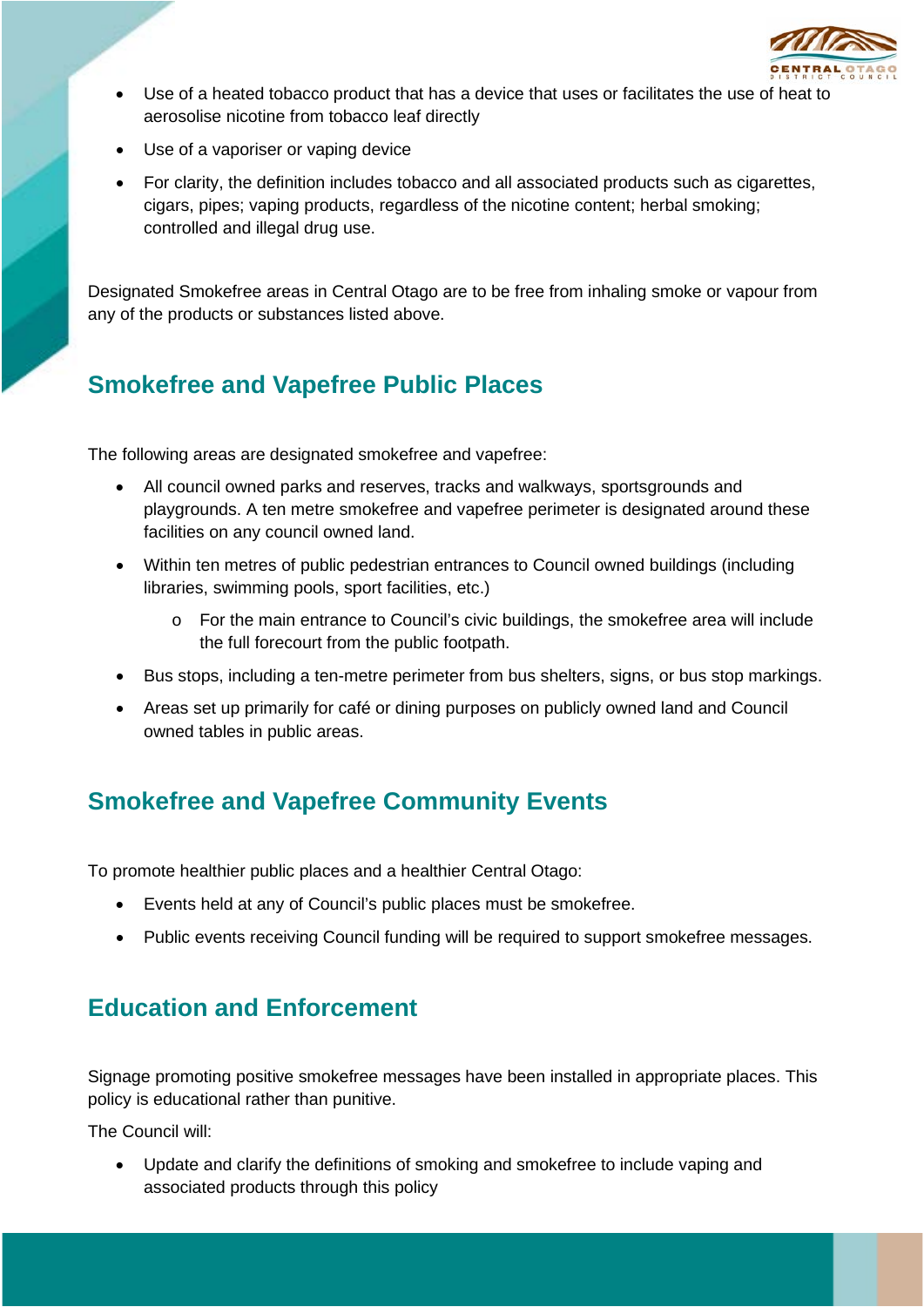

- Use of a heated tobacco product that has a device that uses or facilitates the use of heat to aerosolise nicotine from tobacco leaf directly
- Use of a vaporiser or vaping device
- For clarity, the definition includes tobacco and all associated products such as cigarettes, cigars, pipes; vaping products, regardless of the nicotine content; herbal smoking; controlled and illegal drug use.

Designated Smokefree areas in Central Otago are to be free from inhaling smoke or vapour from any of the products or substances listed above.

#### **Smokefree and Vapefree Public Places**

The following areas are designated smokefree and vapefree:

- All council owned parks and reserves, tracks and walkways, sportsgrounds and playgrounds. A ten metre smokefree and vapefree perimeter is designated around these facilities on any council owned land.
- Within ten metres of public pedestrian entrances to Council owned buildings (including libraries, swimming pools, sport facilities, etc.)
	- o For the main entrance to Council's civic buildings, the smokefree area will include the full forecourt from the public footpath.
- Bus stops, including a ten-metre perimeter from bus shelters, signs, or bus stop markings.
- Areas set up primarily for café or dining purposes on publicly owned land and Council owned tables in public areas.

# **Smokefree and Vapefree Community Events**

To promote healthier public places and a healthier Central Otago:

- Events held at any of Council's public places must be smokefree.
- Public events receiving Council funding will be required to support smokefree messages.

# **Education and Enforcement**

Signage promoting positive smokefree messages have been installed in appropriate places. This policy is educational rather than punitive.

The Council will:

• Update and clarify the definitions of smoking and smokefree to include vaping and associated products through this policy